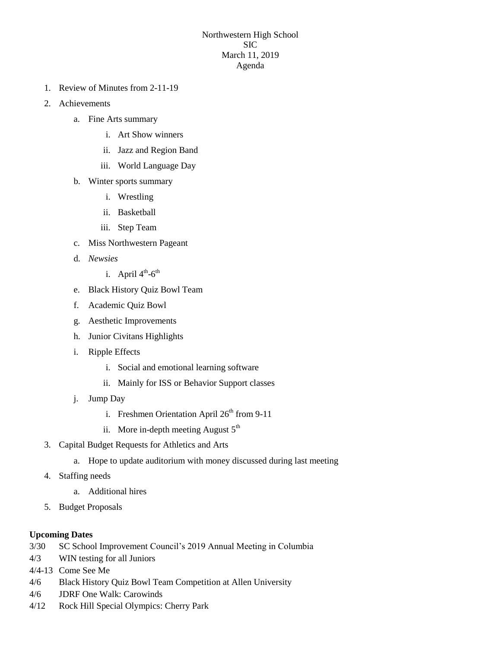## Northwestern High School SIC March 11, 2019 Agenda

- 1. Review of Minutes from 2-11-19
- 2. Achievements
	- a. Fine Arts summary
		- i. Art Show winners
		- ii. Jazz and Region Band
		- iii. World Language Day
	- b. Winter sports summary
		- i. Wrestling
		- ii. Basketball
		- iii. Step Team
	- c. Miss Northwestern Pageant
	- d. *Newsies*
		- i. April  $4^{\text{th}}$ -6<sup>th</sup>
	- e. Black History Quiz Bowl Team
	- f. Academic Quiz Bowl
	- g. Aesthetic Improvements
	- h. Junior Civitans Highlights
	- i. Ripple Effects
		- i. Social and emotional learning software
		- ii. Mainly for ISS or Behavior Support classes
	- j. Jump Day
		- i. Freshmen Orientation April  $26<sup>th</sup>$  from 9-11
		- ii. More in-depth meeting August  $5<sup>th</sup>$
- 3. Capital Budget Requests for Athletics and Arts
	- a. Hope to update auditorium with money discussed during last meeting
- 4. Staffing needs
	- a. Additional hires
- 5. Budget Proposals

## **Upcoming Dates**

- 3/30 SC School Improvement Council's 2019 Annual Meeting in Columbia
- 4/3 WIN testing for all Juniors
- 4/4-13 Come See Me
- 4/6 Black History Quiz Bowl Team Competition at Allen University
- 4/6 JDRF One Walk: Carowinds
- 4/12 Rock Hill Special Olympics: Cherry Park